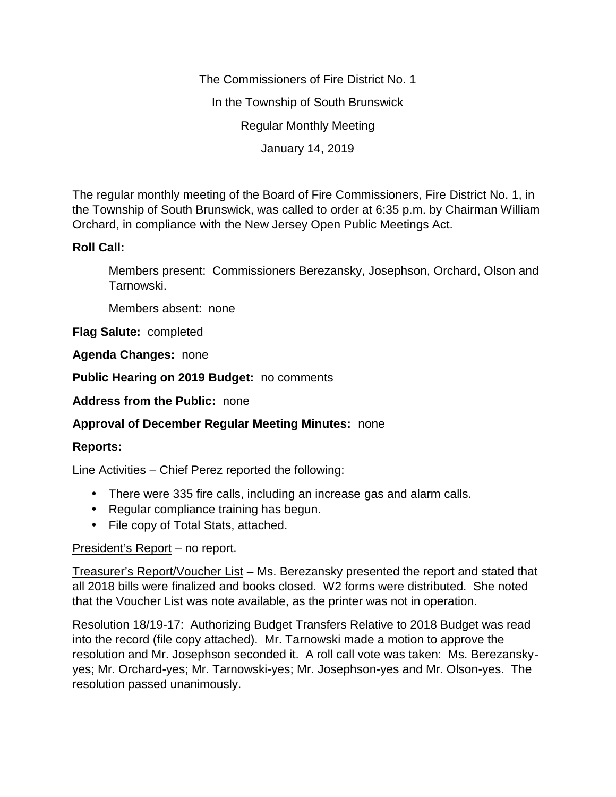The Commissioners of Fire District No. 1 In the Township of South Brunswick Regular Monthly Meeting January 14, 2019

The regular monthly meeting of the Board of Fire Commissioners, Fire District No. 1, in the Township of South Brunswick, was called to order at 6:35 p.m. by Chairman William Orchard, in compliance with the New Jersey Open Public Meetings Act.

## **Roll Call:**

Members present: Commissioners Berezansky, Josephson, Orchard, Olson and Tarnowski.

Members absent: none

**Flag Salute:** completed

**Agenda Changes:** none

**Public Hearing on 2019 Budget:** no comments

**Address from the Public:** none

## **Approval of December Regular Meeting Minutes:** none

## **Reports:**

Line Activities – Chief Perez reported the following:

- There were 335 fire calls, including an increase gas and alarm calls.
- Regular compliance training has begun.
- File copy of Total Stats, attached.

## President's Report – no report.

Treasurer's Report/Voucher List – Ms. Berezansky presented the report and stated that all 2018 bills were finalized and books closed. W2 forms were distributed. She noted that the Voucher List was note available, as the printer was not in operation.

Resolution 18/19-17: Authorizing Budget Transfers Relative to 2018 Budget was read into the record (file copy attached). Mr. Tarnowski made a motion to approve the resolution and Mr. Josephson seconded it. A roll call vote was taken: Ms. Berezansky yes; Mr. Orchard-yes; Mr. Tarnowski-yes; Mr. Josephson-yes and Mr. Olson-yes. The resolution passed unanimously.